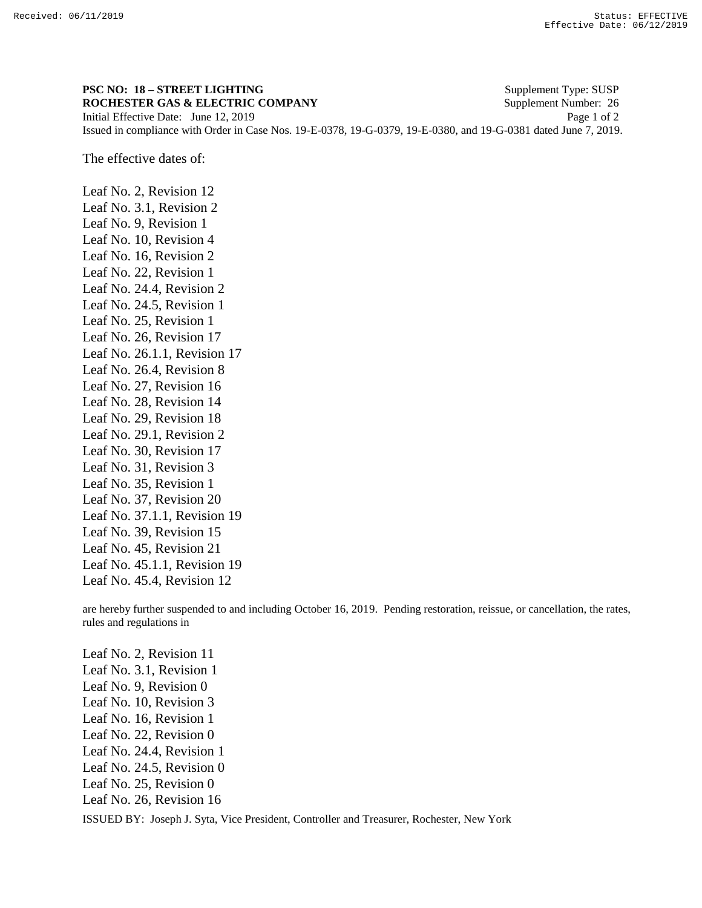## **PSC NO: 18 – STREET LIGHTING** Supplement Type: SUSP **ROCHESTER GAS & ELECTRIC COMPANY** Supplement Number: 26

Initial Effective Date: June 12, 2019 Page 1 of 2 Issued in compliance with Order in Case Nos. 19-E-0378, 19-G-0379, 19-E-0380, and 19-G-0381 dated June 7, 2019.

The effective dates of:

Leaf No. 2, Revision 12 Leaf No. 3.1, Revision 2 Leaf No. 9, Revision 1 Leaf No. 10, Revision 4 Leaf No. 16, Revision 2 Leaf No. 22, Revision 1 Leaf No. 24.4, Revision 2 Leaf No. 24.5, Revision 1 Leaf No. 25, Revision 1 Leaf No. 26, Revision 17 Leaf No. 26.1.1, Revision 17 Leaf No. 26.4, Revision 8 Leaf No. 27, Revision 16 Leaf No. 28, Revision 14 Leaf No. 29, Revision 18 Leaf No. 29.1, Revision 2 Leaf No. 30, Revision 17 Leaf No. 31, Revision 3 Leaf No. 35, Revision 1 Leaf No. 37, Revision 20 Leaf No. 37.1.1, Revision 19 Leaf No. 39, Revision 15 Leaf No. 45, Revision 21 Leaf No. 45.1.1, Revision 19 Leaf No. 45.4, Revision 12

are hereby further suspended to and including October 16, 2019. Pending restoration, reissue, or cancellation, the rates, rules and regulations in

ISSUED BY: Joseph J. Syta, Vice President, Controller and Treasurer, Rochester, New York Leaf No. 2, Revision 11 Leaf No. 3.1, Revision 1 Leaf No. 9, Revision 0 Leaf No. 10, Revision 3 Leaf No. 16, Revision 1 Leaf No. 22, Revision 0 Leaf No. 24.4, Revision 1 Leaf No. 24.5, Revision 0 Leaf No. 25, Revision 0 Leaf No. 26, Revision 16